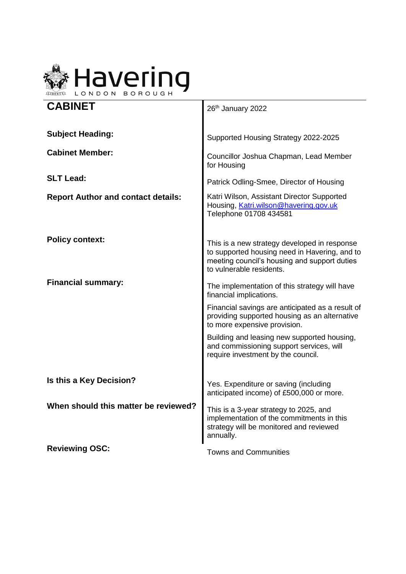

| <b>CABINET</b>                            | 26th January 2022                                                                                                                                                         |
|-------------------------------------------|---------------------------------------------------------------------------------------------------------------------------------------------------------------------------|
| <b>Subject Heading:</b>                   | Supported Housing Strategy 2022-2025                                                                                                                                      |
| <b>Cabinet Member:</b>                    | Councillor Joshua Chapman, Lead Member<br>for Housing                                                                                                                     |
| <b>SLT Lead:</b>                          | Patrick Odling-Smee, Director of Housing                                                                                                                                  |
| <b>Report Author and contact details:</b> | Katri Wilson, Assistant Director Supported<br>Housing, Katri.wilson@havering.gov.uk<br>Telephone 01708 434581                                                             |
| <b>Policy context:</b>                    | This is a new strategy developed in response<br>to supported housing need in Havering, and to<br>meeting council's housing and support duties<br>to vulnerable residents. |
| <b>Financial summary:</b>                 | The implementation of this strategy will have<br>financial implications.                                                                                                  |
|                                           | Financial savings are anticipated as a result of<br>providing supported housing as an alternative<br>to more expensive provision.                                         |
|                                           | Building and leasing new supported housing,<br>and commissioning support services, will<br>require investment by the council.                                             |
| Is this a Key Decision?                   | Yes. Expenditure or saving (including<br>anticipated income) of £500,000 or more.                                                                                         |
| When should this matter be reviewed?      | This is a 3-year strategy to 2025, and<br>implementation of the commitments in this<br>strategy will be monitored and reviewed<br>annually.                               |
| <b>Reviewing OSC:</b>                     | <b>Towns and Communities</b>                                                                                                                                              |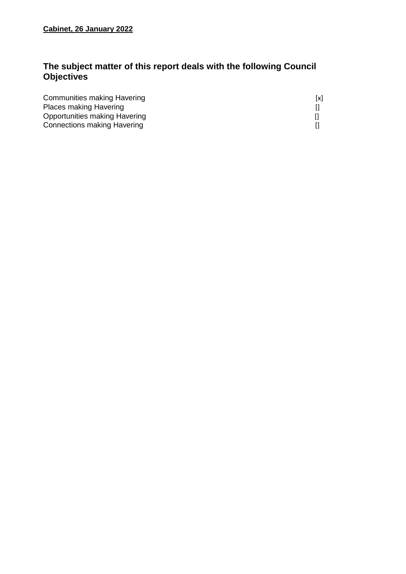# **The subject matter of this report deals with the following Council Objectives**

| Communities making Havering        | [x] |
|------------------------------------|-----|
| <b>Places making Havering</b>      |     |
| Opportunities making Havering      |     |
| <b>Connections making Havering</b> |     |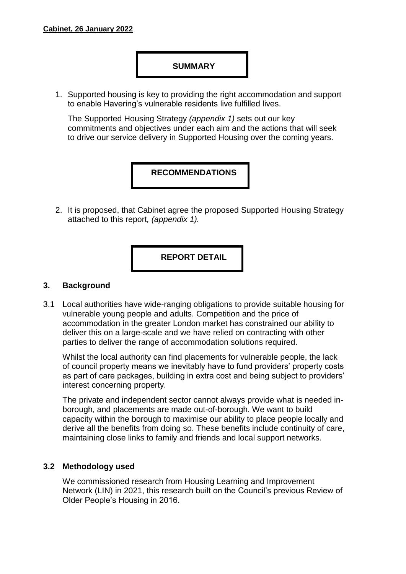#### **SUMMARY**

1. Supported housing is key to providing the right accommodation and support to enable Havering's vulnerable residents live fulfilled lives.

The Supported Housing Strategy *(appendix 1)* sets out our key commitments and objectives under each aim and the actions that will seek to drive our service delivery in Supported Housing over the coming years.

## **RECOMMENDATIONS**

2. It is proposed, that Cabinet agree the proposed Supported Housing Strategy attached to this report*, (appendix 1).*

**REPORT DETAIL**

#### **3. Background**

3.1 Local authorities have wide-ranging obligations to provide suitable housing for vulnerable young people and adults. Competition and the price of accommodation in the greater London market has constrained our ability to deliver this on a large-scale and we have relied on contracting with other parties to deliver the range of accommodation solutions required.

Whilst the local authority can find placements for vulnerable people, the lack of council property means we inevitably have to fund providers' property costs as part of care packages, building in extra cost and being subject to providers' interest concerning property.

The private and independent sector cannot always provide what is needed inborough, and placements are made out-of-borough. We want to build capacity within the borough to maximise our ability to place people locally and derive all the benefits from doing so. These benefits include continuity of care, maintaining close links to family and friends and local support networks.

#### **3.2 Methodology used**

We commissioned research from Housing Learning and Improvement Network (LIN) in 2021, this research built on the Council's previous Review of Older People's Housing in 2016.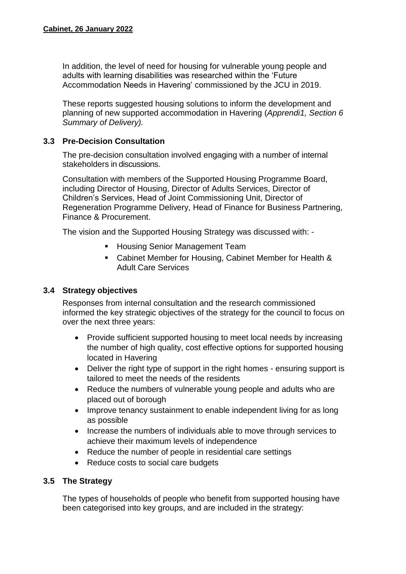In addition, the level of need for housing for vulnerable young people and adults with learning disabilities was researched within the 'Future Accommodation Needs in Havering' commissioned by the JCU in 2019.

These reports suggested housing solutions to inform the development and planning of new supported accommodation in Havering (*Apprendi1, Section 6 Summary of Delivery).*

### **3.3 Pre-Decision Consultation**

The pre-decision consultation involved engaging with a number of internal stakeholders in discussions.

Consultation with members of the Supported Housing Programme Board, including Director of Housing, Director of Adults Services, Director of Children's Services, Head of Joint Commissioning Unit, Director of Regeneration Programme Delivery, Head of Finance for Business Partnering, Finance & Procurement.

The vision and the Supported Housing Strategy was discussed with: -

- **Housing Senior Management Team**
- Cabinet Member for Housing, Cabinet Member for Health & Adult Care Services

## **3.4 Strategy objectives**

Responses from internal consultation and the research commissioned informed the key strategic objectives of the strategy for the council to focus on over the next three years:

- Provide sufficient supported housing to meet local needs by increasing the number of high quality, cost effective options for supported housing located in Havering
- Deliver the right type of support in the right homes ensuring support is tailored to meet the needs of the residents
- Reduce the numbers of vulnerable young people and adults who are placed out of borough
- Improve tenancy sustainment to enable independent living for as long as possible
- Increase the numbers of individuals able to move through services to achieve their maximum levels of independence
- Reduce the number of people in residential care settings
- Reduce costs to social care budgets

## **3.5 The Strategy**

The types of households of people who benefit from supported housing have been categorised into key groups, and are included in the strategy: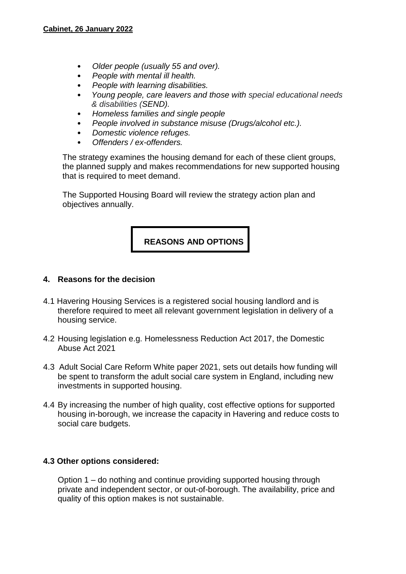- *Older people (usually 55 and over).*
- *People with mental ill health.*
- *People with learning disabilities.*
- *Young people, care leavers and those with special educational needs & disabilities (SEND).*
- *Homeless families and single people*
- *People involved in substance misuse (Drugs/alcohol etc.).*
- *Domestic violence refuges.*
- *Offenders / ex-offenders.*

The strategy examines the housing demand for each of these client groups, the planned supply and makes recommendations for new supported housing that is required to meet demand.

The Supported Housing Board will review the strategy action plan and objectives annually.

## **REASONS AND OPTIONS**

#### **4. Reasons for the decision**

- 4.1 Havering Housing Services is a registered social housing landlord and is therefore required to meet all relevant government legislation in delivery of a housing service.
- 4.2 Housing legislation e.g. Homelessness Reduction Act 2017, the Domestic Abuse Act 2021
- 4.3 Adult Social Care Reform White paper 2021, sets out details how funding will be spent to transform the adult social care system in England, including new investments in supported housing.
- 4.4 By increasing the number of high quality, cost effective options for supported housing in-borough, we increase the capacity in Havering and reduce costs to social care budgets.

#### **4.3 Other options considered:**

Option 1 – do nothing and continue providing supported housing through private and independent sector, or out-of-borough. The availability, price and quality of this option makes is not sustainable.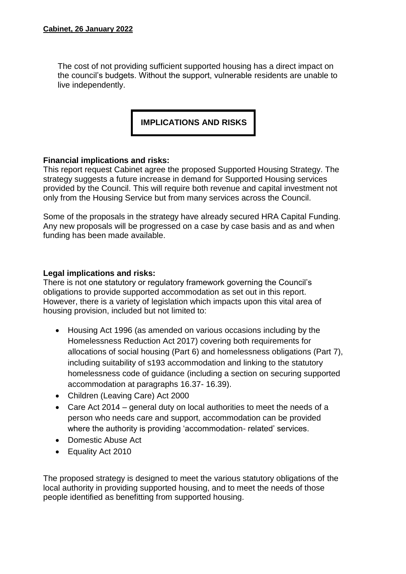The cost of not providing sufficient supported housing has a direct impact on the council's budgets. Without the support, vulnerable residents are unable to live independently.

**IMPLICATIONS AND RISKS**

#### **Financial implications and risks:**

This report request Cabinet agree the proposed Supported Housing Strategy. The strategy suggests a future increase in demand for Supported Housing services provided by the Council. This will require both revenue and capital investment not only from the Housing Service but from many services across the Council.

Some of the proposals in the strategy have already secured HRA Capital Funding. Any new proposals will be progressed on a case by case basis and as and when funding has been made available.

#### **Legal implications and risks:**

There is not one statutory or regulatory framework governing the Council's obligations to provide supported accommodation as set out in this report. However, there is a variety of legislation which impacts upon this vital area of housing provision, included but not limited to:

- Housing Act 1996 (as amended on various occasions including by the Homelessness Reduction Act 2017) covering both requirements for allocations of social housing (Part 6) and homelessness obligations (Part 7), including suitability of s193 accommodation and linking to the statutory homelessness code of guidance (including a section on securing supported accommodation at paragraphs 16.37- 16.39).
- Children (Leaving Care) Act 2000
- Care Act 2014 general duty on local authorities to meet the needs of a person who needs care and support, accommodation can be provided where the authority is providing 'accommodation- related' services.
- Domestic Abuse Act
- Equality Act 2010

The proposed strategy is designed to meet the various statutory obligations of the local authority in providing supported housing, and to meet the needs of those people identified as benefitting from supported housing.